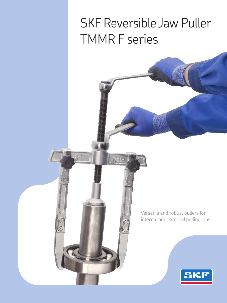## SKF Reversible Jaw Puller TMMR F series

TMMP

00

Versatile and robust pullers for internal and external pulling jobs

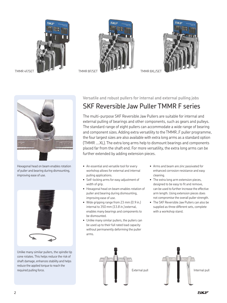







Hexagonal head on beam enables rotation of puller and bearing during dismounting, improving ease of use.



Unlike many similar pullers, the spindle tip cone rotates. This helps reduce the risk of shaft damage, enhances stability and helps reduce the applied torque to reach the required pulling force.

## **Versatile and robust pullers for internal and external pulling jobs**  SKF Reversible Jaw Puller TMMR F series

The multi-purpose SKF Reversible Jaw Pullers are suitable for internal and external pulling of bearings and other components, such as gears and pulleys. The standard range of eight pullers can accommodate a wide range of bearing and component sizes. Adding extra versatility to the TMMR..F puller programme, the four largest sizes are also available with extra long arms as a standard option (TMMR ….XL). The extra long arms help to dismount bearings and components placed far from the shaft end. For more versatility, the extra long arms can be further extended by adding extension pieces.

- An essential and versatile tool for every workshop allows for external and internal pulling applications.
- Self-locking arms for easy adjustment of width of grip.
- • Hexagonal head on beam enables rotation of puller and bearing during dismounting, improving ease of use.
- • Wide gripping range from 23 mm *(0.9 in.)* internal to 350 mm *(13.8 in.)* external, enables many bearings and components to be dismounted.
- Unlike many similar pullers, the pullers can be used up to their full rated load capacity without permanently deforming the puller arms.
- • Arms and beam are zinc passivated for enhanced corrosion resistance and easy cleaning.
- The extra long arm extension pieces, designed to be easy to fit and remove, can be used to further increase the effective arm length. Using extension pieces does not compromise the overall puller strength.
- The SKF Reversible Jaw Pullers can also be supplied as three different sets, complete with a workshop stand.



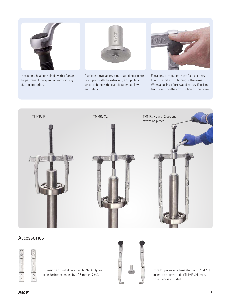

Hexagonal head on spindle with a flange, helps prevent the spanner from slipping during operation.

A unique retractable spring-loaded nose piece is supplied with the extra long arm pullers, which enhances the overall puller stability and safety.

Extra long arm pullers have fixing screws to aid the initial positioning of the arms. When a pulling effort is applied, a self locking feature secures the arm position on the beam.



## Accessories



Extension arm set allows the TMMR.. XL types to be further extended by 125 mm *(4.9 in.)*.



Extra long arm set allows standard TMMR.. F puller to be converted to TMMR.. XL type. Nose piece is included.